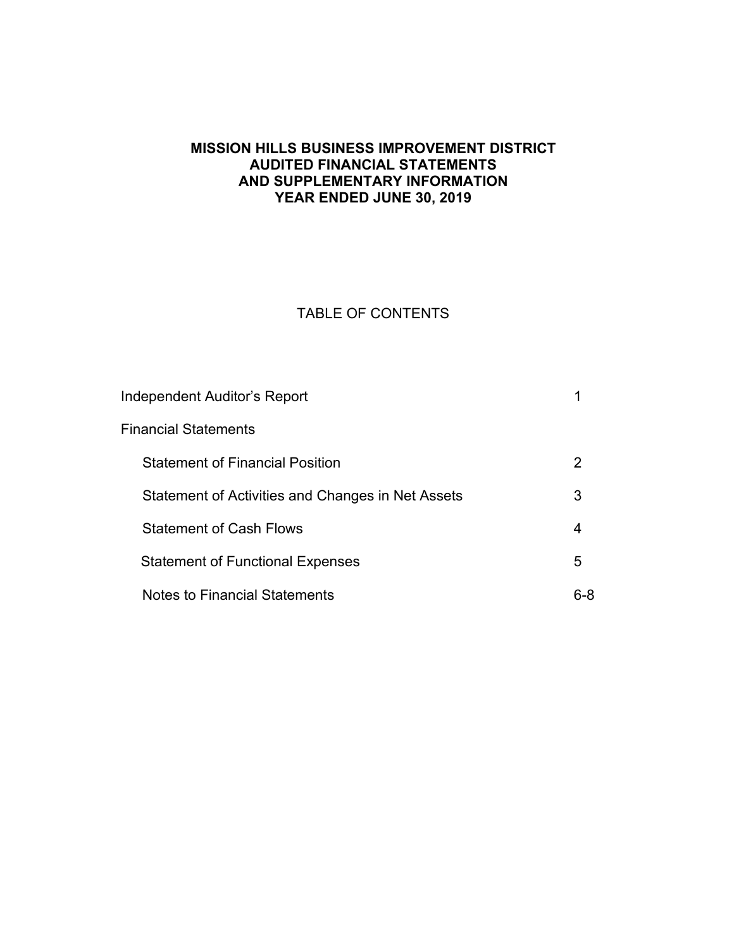### **MISSION HILLS BUSINESS IMPROVEMENT DISTRICT AUDITED FINANCIAL STATEMENTS AND SUPPLEMENTARY INFORMATION YEAR ENDED JUNE 30, 2019**

## TABLE OF CONTENTS

| Independent Auditor's Report                      |     |
|---------------------------------------------------|-----|
| <b>Financial Statements</b>                       |     |
| <b>Statement of Financial Position</b>            | 2   |
| Statement of Activities and Changes in Net Assets | 3   |
| <b>Statement of Cash Flows</b>                    | 4   |
| <b>Statement of Functional Expenses</b>           | 5   |
| <b>Notes to Financial Statements</b>              | 6-8 |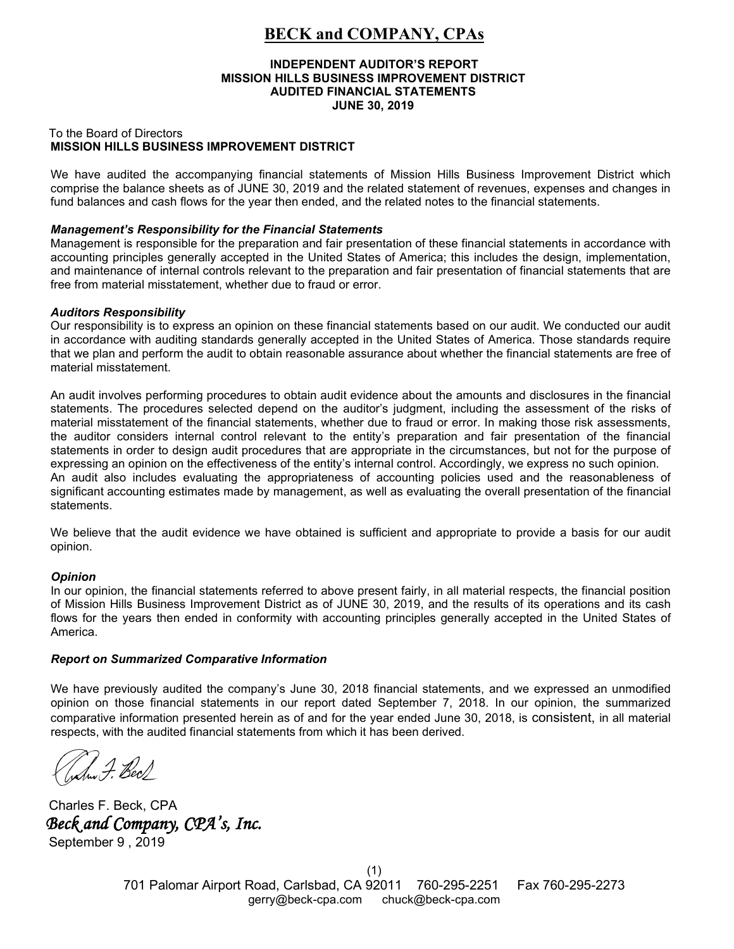# **BECK and COMPANY, CPAs**

#### **INDEPENDENT AUDITOR'S REPORT MISSION HILLS BUSINESS IMPROVEMENT DISTRICT AUDITED FINANCIAL STATEMENTS JUNE 30, 2019**

#### To the Board of Directors **MISSION HILLS BUSINESS IMPROVEMENT DISTRICT**

We have audited the accompanying financial statements of Mission Hills Business Improvement District which comprise the balance sheets as of JUNE 30, 2019 and the related statement of revenues, expenses and changes in fund balances and cash flows for the year then ended, and the related notes to the financial statements.

#### *Management's Responsibility for the Financial Statements*

Management is responsible for the preparation and fair presentation of these financial statements in accordance with accounting principles generally accepted in the United States of America; this includes the design, implementation, and maintenance of internal controls relevant to the preparation and fair presentation of financial statements that are free from material misstatement, whether due to fraud or error.

#### *Auditors Responsibility*

Our responsibility is to express an opinion on these financial statements based on our audit. We conducted our audit in accordance with auditing standards generally accepted in the United States of America. Those standards require that we plan and perform the audit to obtain reasonable assurance about whether the financial statements are free of material misstatement.

An audit involves performing procedures to obtain audit evidence about the amounts and disclosures in the financial statements. The procedures selected depend on the auditor's judgment, including the assessment of the risks of material misstatement of the financial statements, whether due to fraud or error. In making those risk assessments, the auditor considers internal control relevant to the entity's preparation and fair presentation of the financial statements in order to design audit procedures that are appropriate in the circumstances, but not for the purpose of expressing an opinion on the effectiveness of the entity's internal control. Accordingly, we express no such opinion. An audit also includes evaluating the appropriateness of accounting policies used and the reasonableness of significant accounting estimates made by management, as well as evaluating the overall presentation of the financial statements.

We believe that the audit evidence we have obtained is sufficient and appropriate to provide a basis for our audit opinion.

#### *Opinion*

In our opinion, the financial statements referred to above present fairly, in all material respects, the financial position of Mission Hills Business Improvement District as of JUNE 30, 2019, and the results of its operations and its cash flows for the years then ended in conformity with accounting principles generally accepted in the United States of America.

#### *Report on Summarized Comparative Information*

We have previously audited the company's June 30, 2018 financial statements, and we expressed an unmodified opinion on those financial statements in our report dated September 7, 2018. In our opinion, the summarized comparative information presented herein as of and for the year ended June 30, 2018, is consistent, in all material respects, with the audited financial statements from which it has been derived.

(Any F. Bec)

Charles F. Beck, CPA *Beck and Company, CPA's, Inc.* September 9 , 2019

(1)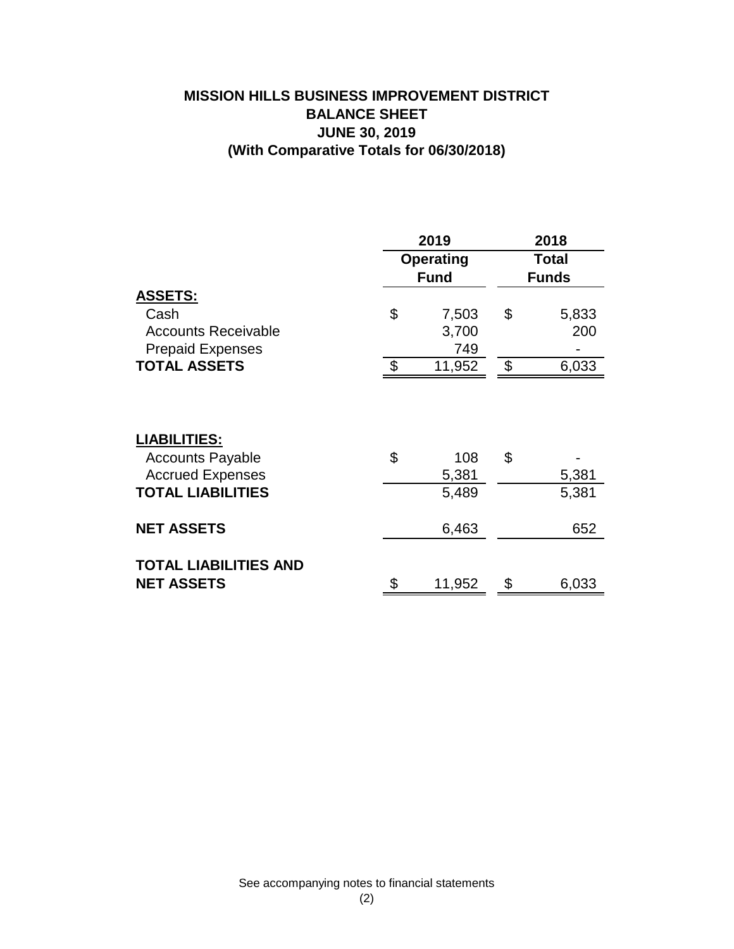## **MISSION HILLS BUSINESS IMPROVEMENT DISTRICT BALANCE SHEET JUNE 30, 2019 (With Comparative Totals for 06/30/2018)**

|                                                                                                       | 2019             |                       | 2018         |                |
|-------------------------------------------------------------------------------------------------------|------------------|-----------------------|--------------|----------------|
|                                                                                                       | <b>Operating</b> |                       | <b>Total</b> |                |
|                                                                                                       | <b>Fund</b>      |                       | <b>Funds</b> |                |
| <b>ASSETS:</b>                                                                                        |                  |                       |              |                |
| Cash                                                                                                  | \$               | 7,503                 | \$           | 5,833          |
| <b>Accounts Receivable</b>                                                                            |                  | 3,700                 |              | 200            |
| <b>Prepaid Expenses</b>                                                                               |                  | 749                   |              |                |
| <b>TOTAL ASSETS</b>                                                                                   | \$               | 11,952                | \$           | 6,033          |
| <b>LIABILITIES:</b><br><b>Accounts Payable</b><br><b>Accrued Expenses</b><br><b>TOTAL LIABILITIES</b> | \$               | 108<br>5,381<br>5,489 | \$           | 5,381<br>5,381 |
| <b>NET ASSETS</b>                                                                                     |                  | 6,463                 |              | 652            |
| <b>TOTAL LIABILITIES AND</b><br><b>NET ASSETS</b>                                                     | \$               | 11,952                | \$           | 6,033          |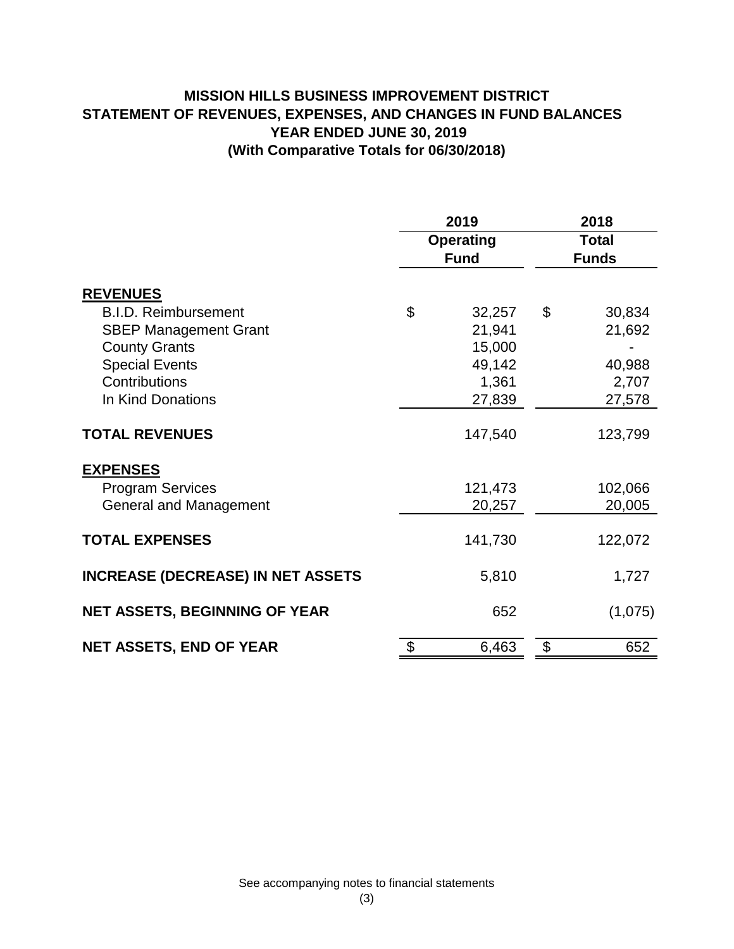## **MISSION HILLS BUSINESS IMPROVEMENT DISTRICT STATEMENT OF REVENUES, EXPENSES, AND CHANGES IN FUND BALANCES YEAR ENDED JUNE 30, 2019 (With Comparative Totals for 06/30/2018)**

|                                                |    | 2019                            | 2018 |                              |  |
|------------------------------------------------|----|---------------------------------|------|------------------------------|--|
|                                                |    | <b>Operating</b><br><b>Fund</b> |      | <b>Total</b><br><b>Funds</b> |  |
| <b>REVENUES</b><br><b>B.I.D. Reimbursement</b> | \$ | 32,257                          | \$   | 30,834                       |  |
| <b>SBEP Management Grant</b>                   |    | 21,941                          |      | 21,692                       |  |
| <b>County Grants</b>                           |    | 15,000                          |      |                              |  |
| <b>Special Events</b>                          |    | 49,142                          |      | 40,988                       |  |
| Contributions                                  |    | 1,361                           |      | 2,707                        |  |
| In Kind Donations                              |    | 27,839                          |      | 27,578                       |  |
| <b>TOTAL REVENUES</b>                          |    | 147,540                         |      | 123,799                      |  |
| <b>EXPENSES</b>                                |    |                                 |      |                              |  |
| <b>Program Services</b>                        |    | 121,473                         |      | 102,066                      |  |
| <b>General and Management</b>                  |    | 20,257                          |      | 20,005                       |  |
| <b>TOTAL EXPENSES</b>                          |    | 141,730                         |      | 122,072                      |  |
| <b>INCREASE (DECREASE) IN NET ASSETS</b>       |    | 5,810                           |      | 1,727                        |  |
| <b>NET ASSETS, BEGINNING OF YEAR</b>           |    | 652                             |      | (1,075)                      |  |
| <b>NET ASSETS, END OF YEAR</b>                 | \$ | 6,463                           | \$   | 652                          |  |
|                                                |    |                                 |      |                              |  |

See accompanying notes to financial statements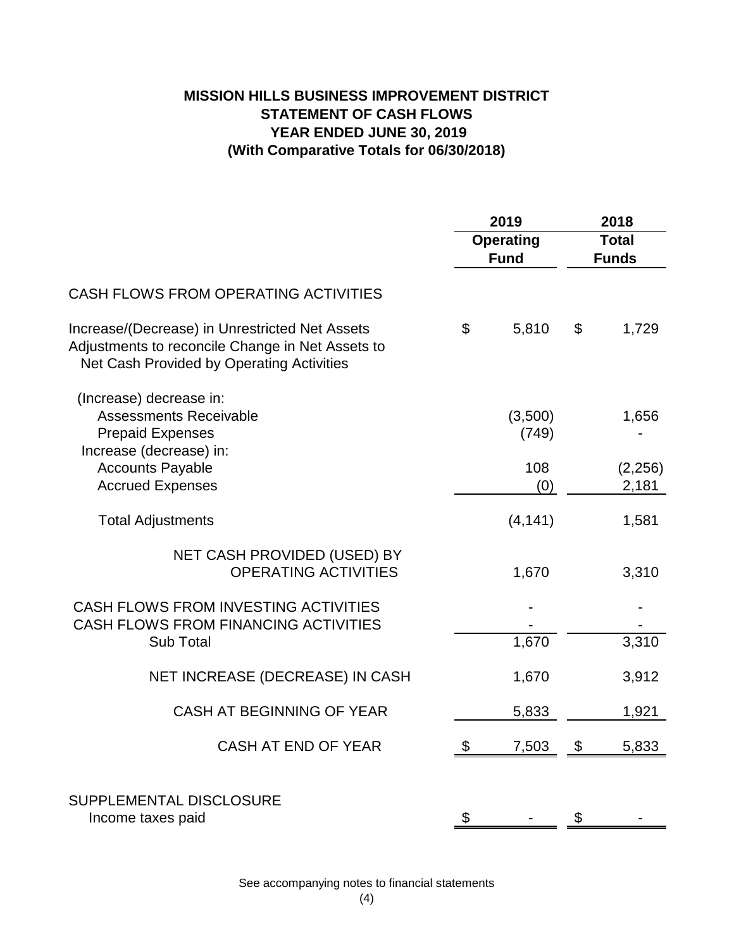## **MISSION HILLS BUSINESS IMPROVEMENT DISTRICT STATEMENT OF CASH FLOWS YEAR ENDED JUNE 30, 2019 (With Comparative Totals for 06/30/2018)**

|                                                                                                                                                 | 2019                            |                  | 2018                         |                  |
|-------------------------------------------------------------------------------------------------------------------------------------------------|---------------------------------|------------------|------------------------------|------------------|
|                                                                                                                                                 | <b>Operating</b><br><b>Fund</b> |                  | <b>Total</b><br><b>Funds</b> |                  |
| CASH FLOWS FROM OPERATING ACTIVITIES                                                                                                            |                                 |                  |                              |                  |
| Increase/(Decrease) in Unrestricted Net Assets<br>Adjustments to reconcile Change in Net Assets to<br>Net Cash Provided by Operating Activities | \$                              | 5,810            | \$                           | 1,729            |
| (Increase) decrease in:<br><b>Assessments Receivable</b><br><b>Prepaid Expenses</b><br>Increase (decrease) in:                                  |                                 | (3,500)<br>(749) |                              | 1,656            |
| <b>Accounts Payable</b><br><b>Accrued Expenses</b>                                                                                              |                                 | 108<br>(0)       |                              | (2,256)<br>2,181 |
| <b>Total Adjustments</b>                                                                                                                        |                                 | (4, 141)         |                              | 1,581            |
| NET CASH PROVIDED (USED) BY<br><b>OPERATING ACTIVITIES</b>                                                                                      |                                 | 1,670            |                              | 3,310            |
| CASH FLOWS FROM INVESTING ACTIVITIES<br>CASH FLOWS FROM FINANCING ACTIVITIES                                                                    |                                 |                  |                              |                  |
| Sub Total                                                                                                                                       |                                 | 1,670            |                              | 3,310            |
| NET INCREASE (DECREASE) IN CASH                                                                                                                 |                                 | 1,670            |                              | 3,912            |
| CASH AT BEGINNING OF YEAR                                                                                                                       |                                 | 5,833            |                              | 1,921            |
| CASH AT END OF YEAR                                                                                                                             | \$                              | 7,503            | \$                           | 5,833            |
| SUPPLEMENTAL DISCLOSURE<br>Income taxes paid                                                                                                    | \$                              |                  | \$                           |                  |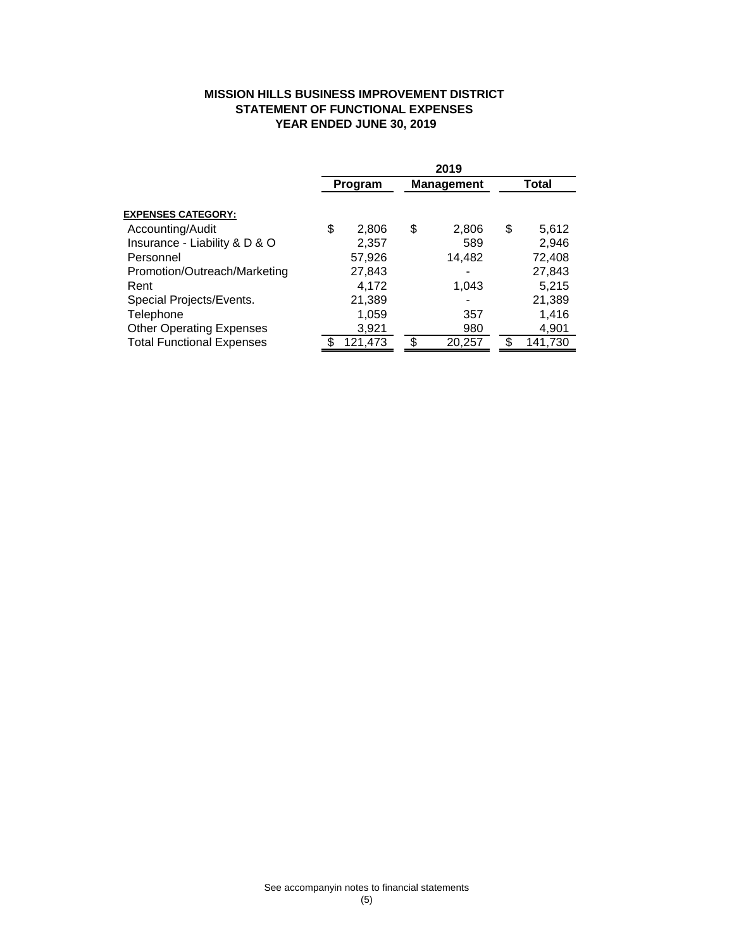#### **MISSION HILLS BUSINESS IMPROVEMENT DISTRICT STATEMENT OF FUNCTIONAL EXPENSES YEAR ENDED JUNE 30, 2019**

| Total   |  |
|---------|--|
|         |  |
|         |  |
| 5,612   |  |
| 2,946   |  |
| 72,408  |  |
| 27,843  |  |
| 5,215   |  |
| 21,389  |  |
| 1,416   |  |
| 4,901   |  |
| 141,730 |  |
|         |  |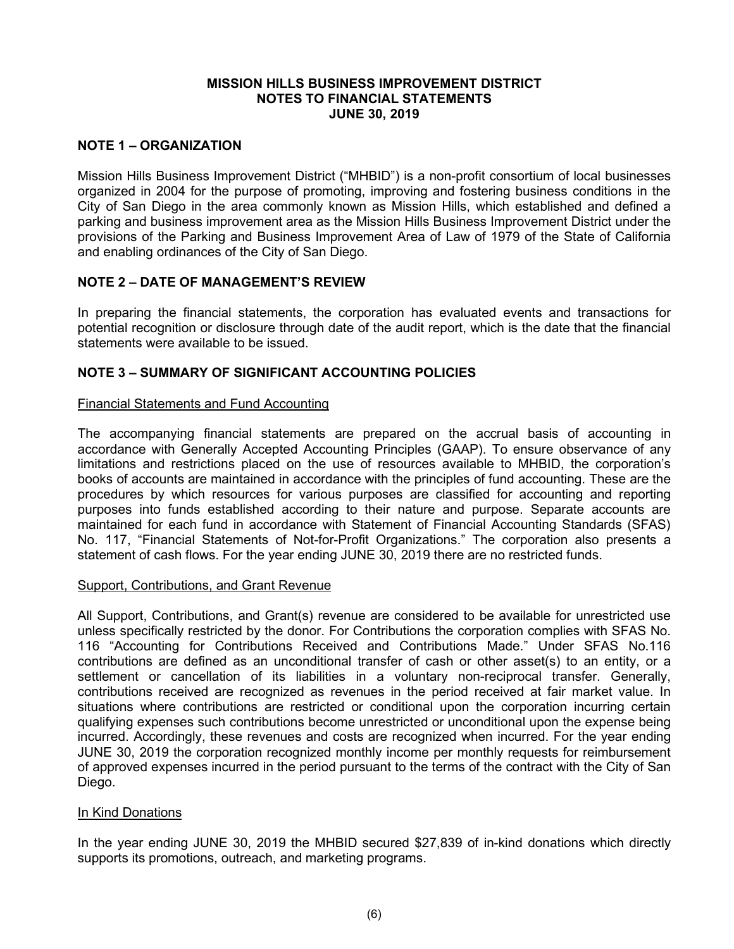#### **MISSION HILLS BUSINESS IMPROVEMENT DISTRICT NOTES TO FINANCIAL STATEMENTS JUNE 30, 2019**

### **NOTE 1 – ORGANIZATION**

Mission Hills Business Improvement District ("MHBID") is a non-profit consortium of local businesses organized in 2004 for the purpose of promoting, improving and fostering business conditions in the City of San Diego in the area commonly known as Mission Hills, which established and defined a parking and business improvement area as the Mission Hills Business Improvement District under the provisions of the Parking and Business Improvement Area of Law of 1979 of the State of California and enabling ordinances of the City of San Diego.

#### **NOTE 2 – DATE OF MANAGEMENT'S REVIEW**

In preparing the financial statements, the corporation has evaluated events and transactions for potential recognition or disclosure through date of the audit report, which is the date that the financial statements were available to be issued.

### **NOTE 3 – SUMMARY OF SIGNIFICANT ACCOUNTING POLICIES**

#### Financial Statements and Fund Accounting

The accompanying financial statements are prepared on the accrual basis of accounting in accordance with Generally Accepted Accounting Principles (GAAP). To ensure observance of any limitations and restrictions placed on the use of resources available to MHBID, the corporation's books of accounts are maintained in accordance with the principles of fund accounting. These are the procedures by which resources for various purposes are classified for accounting and reporting purposes into funds established according to their nature and purpose. Separate accounts are maintained for each fund in accordance with Statement of Financial Accounting Standards (SFAS) No. 117, "Financial Statements of Not-for-Profit Organizations." The corporation also presents a statement of cash flows. For the year ending JUNE 30, 2019 there are no restricted funds.

#### Support, Contributions, and Grant Revenue

All Support, Contributions, and Grant(s) revenue are considered to be available for unrestricted use unless specifically restricted by the donor. For Contributions the corporation complies with SFAS No. 116 "Accounting for Contributions Received and Contributions Made." Under SFAS No.116 contributions are defined as an unconditional transfer of cash or other asset(s) to an entity, or a settlement or cancellation of its liabilities in a voluntary non-reciprocal transfer. Generally, contributions received are recognized as revenues in the period received at fair market value. In situations where contributions are restricted or conditional upon the corporation incurring certain qualifying expenses such contributions become unrestricted or unconditional upon the expense being incurred. Accordingly, these revenues and costs are recognized when incurred. For the year ending JUNE 30, 2019 the corporation recognized monthly income per monthly requests for reimbursement of approved expenses incurred in the period pursuant to the terms of the contract with the City of San Diego.

#### In Kind Donations

In the year ending JUNE 30, 2019 the MHBID secured \$27,839 of in-kind donations which directly supports its promotions, outreach, and marketing programs.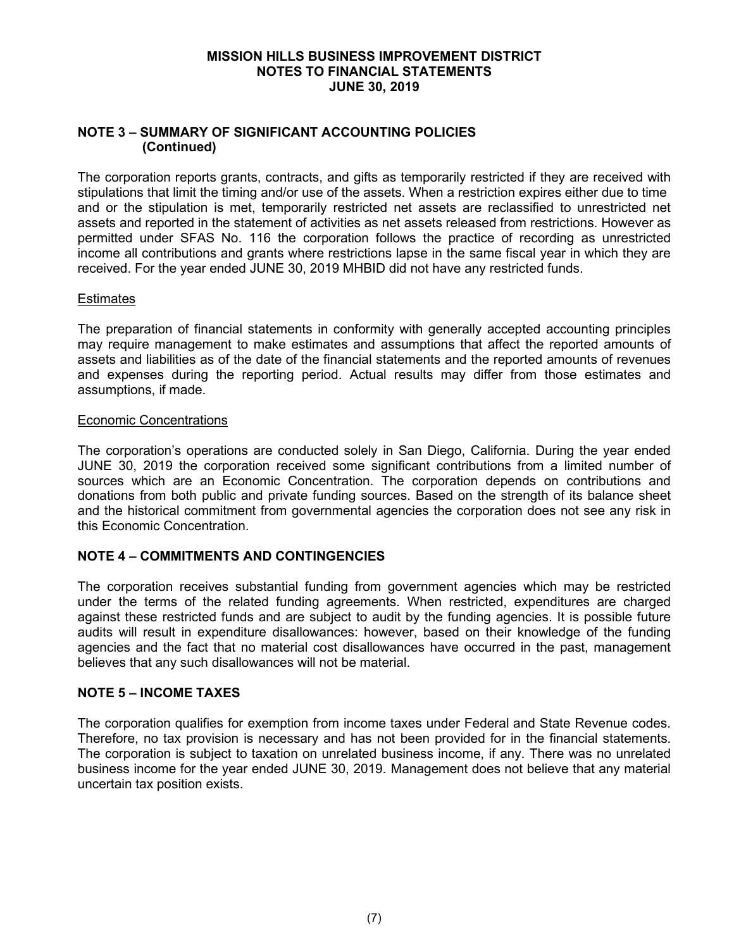#### **MISSION HILLS BUSINESS IMPROVEMENT DISTRICT NOTES TO FINANCIAL STATEMENTS JUNE 30, 2019**

### **NOTE 3 – SUMMARY OF SIGNIFICANT ACCOUNTING POLICIES (Continued)**

The corporation reports grants, contracts, and gifts as temporarily restricted if they are received with stipulations that limit the timing and/or use of the assets. When a restriction expires either due to time and or the stipulation is met, temporarily restricted net assets are reclassified to unrestricted net assets and reported in the statement of activities as net assets released from restrictions. However as permitted under SFAS No. 116 the corporation follows the practice of recording as unrestricted income all contributions and grants where restrictions lapse in the same fiscal year in which they are received. For the year ended JUNE 30, 2019 MHBID did not have any restricted funds.

#### **Estimates**

The preparation of financial statements in conformity with generally accepted accounting principles may require management to make estimates and assumptions that affect the reported amounts of assets and liabilities as of the date of the financial statements and the reported amounts of revenues and expenses during the reporting period. Actual results may differ from those estimates and assumptions, if made.

#### Economic Concentrations

The corporation's operations are conducted solely in San Diego, California. During the year ended JUNE 30, 2019 the corporation received some significant contributions from a limited number of sources which are an Economic Concentration. The corporation depends on contributions and donations from both public and private funding sources. Based on the strength of its balance sheet and the historical commitment from governmental agencies the corporation does not see any risk in this Economic Concentration.

### **NOTE 4 – COMMITMENTS AND CONTINGENCIES**

The corporation receives substantial funding from government agencies which may be restricted under the terms of the related funding agreements. When restricted, expenditures are charged against these restricted funds and are subject to audit by the funding agencies. It is possible future audits will result in expenditure disallowances: however, based on their knowledge of the funding agencies and the fact that no material cost disallowances have occurred in the past, management believes that any such disallowances will not be material.

### **NOTE 5 – INCOME TAXES**

The corporation qualifies for exemption from income taxes under Federal and State Revenue codes. Therefore, no tax provision is necessary and has not been provided for in the financial statements. The corporation is subject to taxation on unrelated business income, if any. There was no unrelated business income for the year ended JUNE 30, 2019. Management does not believe that any material uncertain tax position exists.